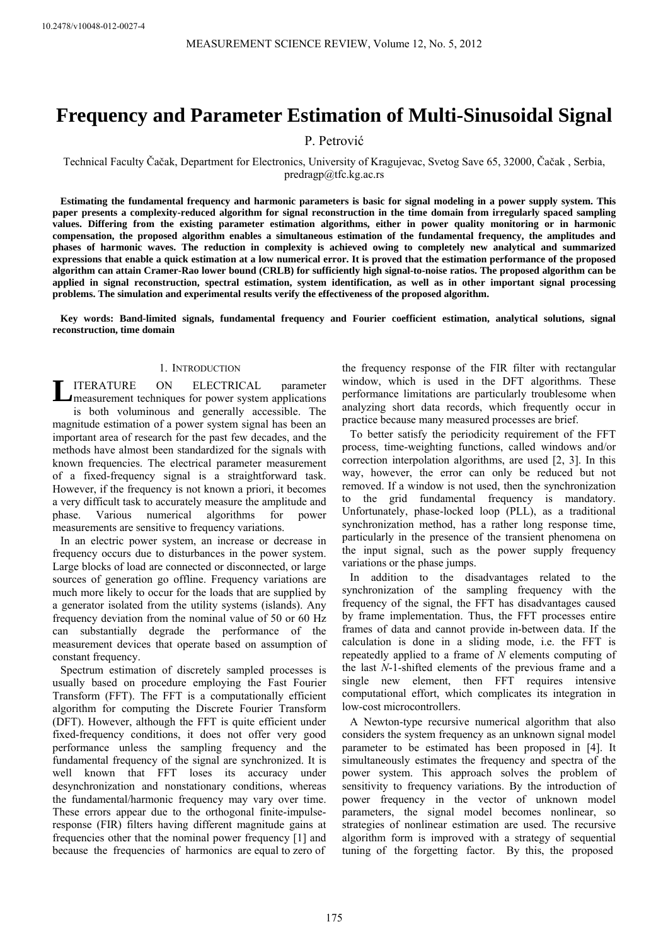# **Frequency and Parameter Estimation of Multi-Sinusoidal Signal**

## P. Petrović

Technical Faculty Čačak, Department for Electronics, University of Kragujevac, Svetog Save 65, 32000, Čačak , Serbia, predragp@tfc.kg.ac.rs

**Estimating the fundamental frequency and harmonic parameters is basic for signal modeling in a power supply system. This paper presents a complexity-reduced algorithm for signal reconstruction in the time domain from irregularly spaced sampling values. Differing from the existing parameter estimation algorithms, either in power quality monitoring or in harmonic compensation, the proposed algorithm enables a simultaneous estimation of the fundamental frequency, the amplitudes and phases of harmonic waves. The reduction in complexity is achieved owing to completely new analytical and summarized expressions that enable a quick estimation at a low numerical error. It is proved that the estimation performance of the proposed algorithm can attain Cramer-Rao lower bound (CRLB) for sufficiently high signal-to-noise ratios. The proposed algorithm can be applied in signal reconstruction, spectral estimation, system identification, as well as in other important signal processing problems. The simulation and experimental results verify the effectiveness of the proposed algorithm.** 

**Key words: Band-limited signals, fundamental frequency and Fourier coefficient estimation, analytical solutions, signal reconstruction, time domain** 

## 1. INTRODUCTION

ITERATURE ON ELECTRICAL parameter **LITERATURE ON ELECTRICAL parameter**<br> **L** measurement techniques for power system applications is both voluminous and generally accessible. The magnitude estimation of a power system signal has been an important area of research for the past few decades, and the methods have almost been standardized for the signals with known frequencies. The electrical parameter measurement of a fixed-frequency signal is a straightforward task. However, if the frequency is not known a priori, it becomes a very difficult task to accurately measure the amplitude and phase. Various numerical algorithms for power measurements are sensitive to frequency variations.

In an electric power system, an increase or decrease in frequency occurs due to disturbances in the power system. Large blocks of load are connected or disconnected, or large sources of generation go offline. Frequency variations are much more likely to occur for the loads that are supplied by a generator isolated from the utility systems (islands). Any frequency deviation from the nominal value of 50 or 60 Hz can substantially degrade the performance of the measurement devices that operate based on assumption of constant frequency.

Spectrum estimation of discretely sampled processes is usually based on procedure employing the Fast Fourier Transform (FFT). The FFT is a computationally efficient algorithm for computing the Discrete Fourier Transform (DFT). However, although the FFT is quite efficient under fixed-frequency conditions, it does not offer very good performance unless the sampling frequency and the fundamental frequency of the signal are synchronized. It is well known that FFT loses its accuracy under desynchronization and nonstationary conditions, whereas the fundamental/harmonic frequency may vary over time. These errors appear due to the orthogonal finite-impulseresponse (FIR) filters having different magnitude gains at frequencies other that the nominal power frequency [1] and because the frequencies of harmonics are equal to zero of

the frequency response of the FIR filter with rectangular window, which is used in the DFT algorithms. These performance limitations are particularly troublesome when analyzing short data records, which frequently occur in practice because many measured processes are brief.

To better satisfy the periodicity requirement of the FFT process, time-weighting functions, called windows and/or correction interpolation algorithms, are used [2, 3]. In this way, however, the error can only be reduced but not removed. If a window is not used, then the synchronization to the grid fundamental frequency is mandatory. Unfortunately, phase-locked loop (PLL), as a traditional synchronization method, has a rather long response time, particularly in the presence of the transient phenomena on the input signal, such as the power supply frequency variations or the phase jumps.

In addition to the disadvantages related to the synchronization of the sampling frequency with the frequency of the signal, the FFT has disadvantages caused by frame implementation. Thus, the FFT processes entire frames of data and cannot provide in-between data. If the calculation is done in a sliding mode, i.e. the FFT is repeatedly applied to a frame of *N* elements computing of the last *N*-1-shifted elements of the previous frame and a single new element, then FFT requires intensive computational effort, which complicates its integration in low-cost microcontrollers.

A Newton-type recursive numerical algorithm that also considers the system frequency as an unknown signal model parameter to be estimated has been proposed in [4]. It simultaneously estimates the frequency and spectra of the power system. This approach solves the problem of sensitivity to frequency variations. By the introduction of power frequency in the vector of unknown model parameters, the signal model becomes nonlinear, so strategies of nonlinear estimation are used. The recursive algorithm form is improved with a strategy of sequential tuning of the forgetting factor. By this, the proposed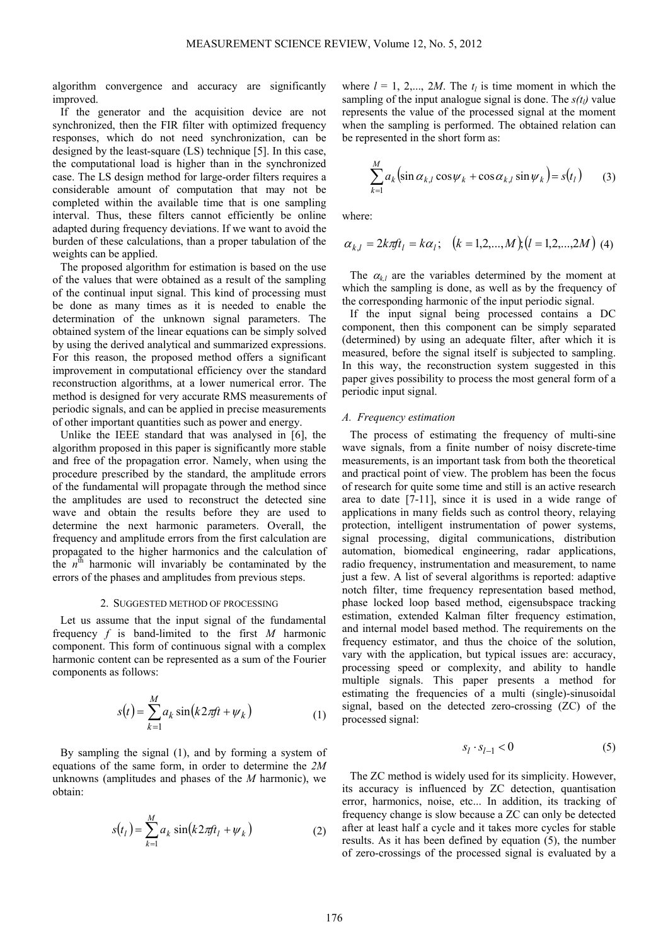algorithm convergence and accuracy are significantly improved.

If the generator and the acquisition device are not synchronized, then the FIR filter with optimized frequency responses, which do not need synchronization, can be designed by the least-square (LS) technique [5]. In this case, the computational load is higher than in the synchronized case. The LS design method for large-order filters requires a considerable amount of computation that may not be completed within the available time that is one sampling interval. Thus, these filters cannot efficiently be online adapted during frequency deviations. If we want to avoid the burden of these calculations, than a proper tabulation of the weights can be applied.

The proposed algorithm for estimation is based on the use of the values that were obtained as a result of the sampling of the continual input signal. This kind of processing must be done as many times as it is needed to enable the determination of the unknown signal parameters. The obtained system of the linear equations can be simply solved by using the derived analytical and summarized expressions. For this reason, the proposed method offers a significant improvement in computational efficiency over the standard reconstruction algorithms, at a lower numerical error. The method is designed for very accurate RMS measurements of periodic signals, and can be applied in precise measurements of other important quantities such as power and energy.

Unlike the IEEE standard that was analysed in [6], the algorithm proposed in this paper is significantly more stable and free of the propagation error. Namely, when using the procedure prescribed by the standard, the amplitude errors of the fundamental will propagate through the method since the amplitudes are used to reconstruct the detected sine wave and obtain the results before they are used to determine the next harmonic parameters. Overall, the frequency and amplitude errors from the first calculation are propagated to the higher harmonics and the calculation of the  $n^{\text{th}}$  harmonic will invariably be contaminated by the errors of the phases and amplitudes from previous steps.

#### 2. SUGGESTED METHOD OF PROCESSING

Let us assume that the input signal of the fundamental frequency *f* is band-limited to the first *M* harmonic component. This form of continuous signal with a complex harmonic content can be represented as a sum of the Fourier components as follows:

$$
s(t) = \sum_{k=1}^{M} a_k \sin(k2\pi ft + \psi_k)
$$
 (1)

By sampling the signal (1), and by forming a system of equations of the same form, in order to determine the *2M* unknowns (amplitudes and phases of the *M* harmonic), we obtain:

$$
s(t_l) = \sum_{k=1}^{M} a_k \sin(k2\pi ft_l + \psi_k)
$$
 (2)

where  $l = 1, 2,..., 2M$ . The  $t_l$  is time moment in which the sampling of the input analogue signal is done. The  $s(t_l)$  value represents the value of the processed signal at the moment when the sampling is performed. The obtained relation can be represented in the short form as:

$$
\sum_{k=1}^{M} a_k \left( \sin \alpha_{k,l} \cos \psi_k + \cos \alpha_{k,l} \sin \psi_k \right) = s(t_l) \qquad (3)
$$

where:

$$
\alpha_{k,l} = 2k\pi f_l = k\alpha_l; \quad (k = 1, 2, \dots, M)(l = 1, 2, \dots, 2M) \tag{4}
$$

The  $\alpha_{k,l}$  are the variables determined by the moment at which the sampling is done, as well as by the frequency of the corresponding harmonic of the input periodic signal.

If the input signal being processed contains a DC component, then this component can be simply separated (determined) by using an adequate filter, after which it is measured, before the signal itself is subjected to sampling. In this way, the reconstruction system suggested in this paper gives possibility to process the most general form of a periodic input signal.

#### *A. Frequency estimation*

The process of estimating the frequency of multi-sine wave signals, from a finite number of noisy discrete-time measurements, is an important task from both the theoretical and practical point of view. The problem has been the focus of research for quite some time and still is an active research area to date [7-11], since it is used in a wide range of applications in many fields such as control theory, relaying protection, intelligent instrumentation of power systems, signal processing, digital communications, distribution automation, biomedical engineering, radar applications, radio frequency, instrumentation and measurement, to name just a few. A list of several algorithms is reported: adaptive notch filter, time frequency representation based method, phase locked loop based method, eigensubspace tracking estimation, extended Kalman filter frequency estimation, and internal model based method. The requirements on the frequency estimator, and thus the choice of the solution, vary with the application, but typical issues are: accuracy, processing speed or complexity, and ability to handle multiple signals. This paper presents a method for estimating the frequencies of a multi (single)-sinusoidal signal, based on the detected zero-crossing (ZC) of the processed signal:

$$
s_l \cdot s_{l-1} < 0 \tag{5}
$$

The ZC method is widely used for its simplicity. However, its accuracy is influenced by ZC detection, quantisation error, harmonics, noise, etc... In addition, its tracking of frequency change is slow because a ZC can only be detected after at least half a cycle and it takes more cycles for stable results. As it has been defined by equation (5), the number of zero-crossings of the processed signal is evaluated by a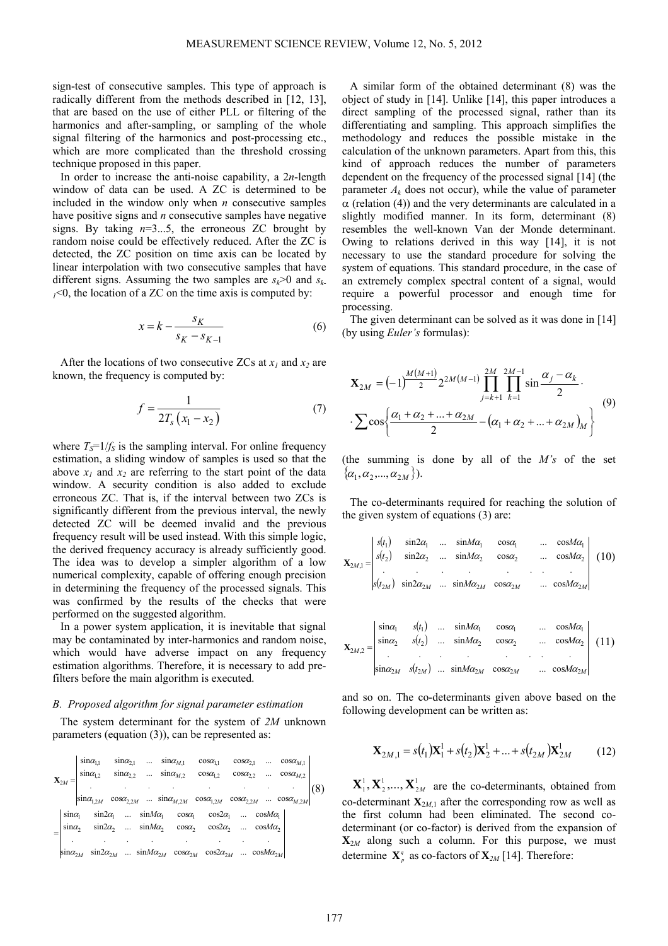sign-test of consecutive samples. This type of approach is radically different from the methods described in [12, 13], that are based on the use of either PLL or filtering of the harmonics and after-sampling, or sampling of the whole signal filtering of the harmonics and post-processing etc., which are more complicated than the threshold crossing technique proposed in this paper.

In order to increase the anti-noise capability, a 2*n*-length window of data can be used. A ZC is determined to be included in the window only when *n* consecutive samples have positive signs and *n* consecutive samples have negative signs. By taking  $n=3...5$ , the erroneous ZC brought by random noise could be effectively reduced. After the ZC is detected, the ZC position on time axis can be located by linear interpolation with two consecutive samples that have different signs. Assuming the two samples are  $s_k > 0$  and  $s_k$ .  $1/10$ , the location of a ZC on the time axis is computed by:

$$
x = k - \frac{s_K}{s_K - s_{K-1}}\tag{6}
$$

After the locations of two consecutive ZCs at  $x_1$  and  $x_2$  are known, the frequency is computed by:

$$
f = \frac{1}{2T_s(x_1 - x_2)}\tag{7}
$$

where  $T_s = 1/f_s$  is the sampling interval. For online frequency estimation, a sliding window of samples is used so that the above  $x_1$  and  $x_2$  are referring to the start point of the data window. A security condition is also added to exclude erroneous ZC. That is, if the interval between two ZCs is significantly different from the previous interval, the newly detected ZC will be deemed invalid and the previous frequency result will be used instead. With this simple logic, the derived frequency accuracy is already sufficiently good. The idea was to develop a simpler algorithm of a low numerical complexity, capable of offering enough precision in determining the frequency of the processed signals. This was confirmed by the results of the checks that were performed on the suggested algorithm.

In a power system application, it is inevitable that signal may be contaminated by inter-harmonics and random noise, which would have adverse impact on any frequency estimation algorithms. Therefore, it is necessary to add prefilters before the main algorithm is executed.

## *B. Proposed algorithm for signal parameter estimation*

The system determinant for the system of *2M* unknown parameters (equation (3)), can be represented as:

|                    | $\sin \alpha_{l,1}$<br>$\sin \alpha_{1,2}$           | $\sin \alpha_{21}$<br>$\sin \alpha_{2,2}$ | $\cdots$ | $\sin \alpha_{M,2}$ $\cos \alpha_{1,2}$ | $\sin \alpha_{M,1}$ $\cos \alpha_{1,1}$                                                                        | $\cos \alpha_{21}$<br>$cos\alpha_{22}$ |                                           | $\ldots$ cos $\alpha_{M1}$<br>$\cos \alpha_{M,2}$ |  |
|--------------------|------------------------------------------------------|-------------------------------------------|----------|-----------------------------------------|----------------------------------------------------------------------------------------------------------------|----------------------------------------|-------------------------------------------|---------------------------------------------------|--|
|                    |                                                      |                                           |          |                                         | $\left \sin\alpha_{1,2M} \cos\alpha_{2,2M} \dots \sin\alpha_{M,2M} \cos\alpha_{1,2M} \cos\alpha_{2,2M}\right $ |                                        |                                           | $cos\alpha_{M,2M}$                                |  |
| $sin\alpha_1$      | $\sin 2\alpha_1$<br>$\sin \alpha_2$ $\sin 2\alpha_2$ |                                           |          |                                         | $sinM\alpha_1$ $cos\alpha_1$ $cos2\alpha_1$<br>$sinM\alpha_2$ $cos\alpha_2$ $cos2\alpha_2$                     |                                        | $cosM\alpha_1$<br>$\ldots \cos M\alpha_2$ |                                                   |  |
| $\sin \alpha_{2M}$ |                                                      |                                           |          |                                         | $\sin 2\alpha_{2M}$ $\sin M\alpha_{2M}$ $\cos \alpha_{2M}$ $\cos 2\alpha_{2M}$ $\cos M\alpha_{2M}$             |                                        |                                           |                                                   |  |

A similar form of the obtained determinant (8) was the object of study in [14]. Unlike [14], this paper introduces a direct sampling of the processed signal, rather than its differentiating and sampling. This approach simplifies the methodology and reduces the possible mistake in the calculation of the unknown parameters. Apart from this, this kind of approach reduces the number of parameters dependent on the frequency of the processed signal [14] (the parameter  $A_k$  does not occur), while the value of parameter  $\alpha$  (relation (4)) and the very determinants are calculated in a slightly modified manner. In its form, determinant (8) resembles the well-known Van der Monde determinant. Owing to relations derived in this way [14], it is not necessary to use the standard procedure for solving the system of equations. This standard procedure, in the case of an extremely complex spectral content of a signal, would require a powerful processor and enough time for processing.

The given determinant can be solved as it was done in [14] (by using *Euler's* formulas):

$$
\mathbf{X}_{2M} = (-1)^{\frac{M(M+1)}{2}} 2^{2M(M-1)} \prod_{j=k+1}^{2M} \prod_{k=1}^{2M-1} \sin \frac{\alpha_j - \alpha_k}{2} \cdot \n\cdot \sum \cos \left\{ \frac{\alpha_1 + \alpha_2 + \dots + \alpha_{2M}}{2} - (\alpha_1 + \alpha_2 + \dots + \alpha_{2M})_M \right\} \tag{9}
$$

(the summing is done by all of the *M's* of the set  $\{\alpha_1, \alpha_2, ..., \alpha_{2M}\}\.$ 

The co-determinants required for reaching the solution of the given system of equations (3) are:

$$
\mathbf{X}_{2M,1} = \begin{vmatrix} s(t_1) & \sin 2\alpha_1 & \dots & \sin M\alpha_1 & \cos \alpha_1 & \dots & \cos M\alpha_1 \\ s(t_2) & \sin 2\alpha_2 & \dots & \sin M\alpha_2 & \cos \alpha_2 & \dots & \cos M\alpha_2 \\ \vdots & \vdots & \vdots & \ddots & \vdots & \vdots \\ s(t_{2M}) & \sin 2\alpha_{2M} & \dots & \sin M\alpha_{2M} & \cos \alpha_{2M} & \dots & \cos M\alpha_{2M} \end{vmatrix} (10)
$$

$$
\mathbf{X}_{2M,2} = \begin{vmatrix} \sin\alpha_1 & s(t_1) & \dots & \sin M\alpha_1 & \cos\alpha_1 & \dots & \cos M\alpha_1 \\ \sin\alpha_2 & s(t_2) & \dots & \sin M\alpha_2 & \cos\alpha_2 & \dots & \cos M\alpha_2 \\ \vdots & \vdots & \vdots & \ddots & \vdots & \vdots \\ \sin\alpha_{2M} & s(t_{2M}) & \dots & \sin M\alpha_{2M} & \cos\alpha_{2M} & \dots & \cos M\alpha_{2M} \end{vmatrix} (11)
$$

and so on. The co-determinants given above based on the following development can be written as:

$$
\mathbf{X}_{2M,1} = s(t_1)\mathbf{X}_1^1 + s(t_2)\mathbf{X}_2^1 + \dots + s(t_{2M})\mathbf{X}_{2M}^1
$$
 (12)

1 2 1 2  $X_1^1, X_2^1, \ldots, X_{2M}^1$  are the co-determinants, obtained from co-determinant  $\mathbf{X}_{2M,1}$  after the corresponding row as well as the first column had been eliminated. The second codeterminant (or co-factor) is derived from the expansion of  $\mathbf{X}_{2M}$  along such a column. For this purpose, we must determine  $X^q$  as co-factors of  $X^q$  [14]. Therefore: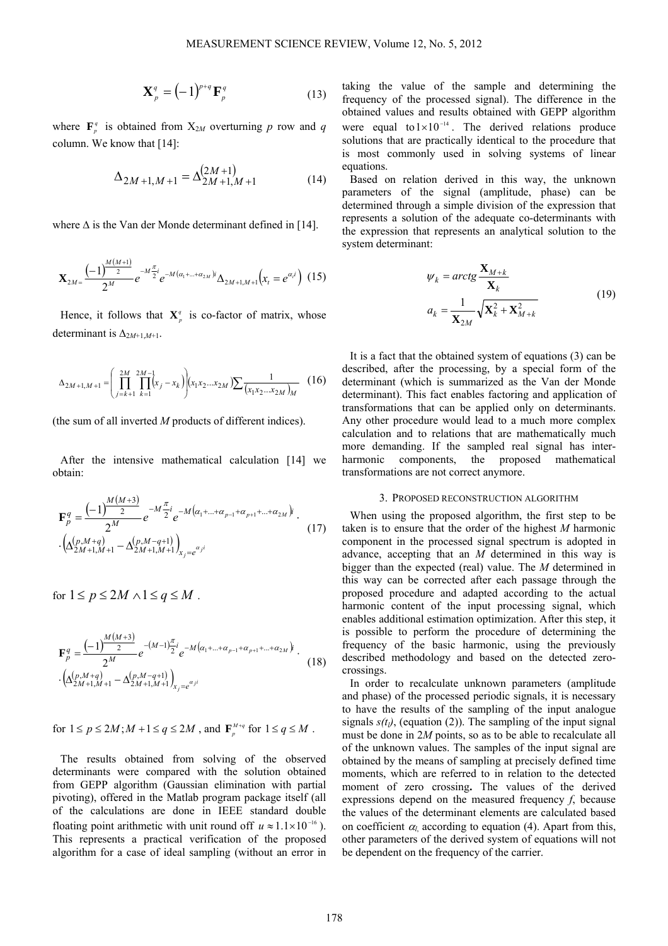$$
\mathbf{X}_p^q = (-1)^{p+q} \mathbf{F}_p^q
$$
 (13)

where  $\mathbf{F}_{p}^{q}$  is obtained from  $X_{2M}$  overturning *p* row and *q* column. We know that [14]:

$$
\Delta_{2M+1,M+1} = \Delta_{2M+1,M+1}^{(2M+1)} \tag{14}
$$

where  $\Delta$  is the Van der Monde determinant defined in [14].

$$
\mathbf{X}_{2M} = \frac{(-1)^{\frac{M(M+1)}{2}}}{2^M} e^{-M\frac{\pi}{2}i} e^{-M(\alpha_1 + \dots + \alpha_{2M})i} \Delta_{2M+1,M+1} \left( x_t = e^{\alpha_i i} \right) (15)
$$

Hence, it follows that  $X^q$  is co-factor of matrix, whose determinant is  $\Delta_{2M+1,M+1}$ .

$$
\Delta_{2M+1,M+1} = \left(\prod_{j=k+1}^{2M} \prod_{k=1}^{2M-1} (x_j - x_k)\right) (x_1 x_2 ... x_{2M}) \sum \frac{1}{(x_1 x_2 ... x_{2M})_M} \quad (16)
$$

(the sum of all inverted *M* products of different indices).

After the intensive mathematical calculation [14] we obtain:

$$
\mathbf{F}_{p}^{q} = \frac{(-1)^{\frac{M(M+3)}{2}} e^{-M \frac{\pi}{2} i} e^{-M (\alpha_{1} + \dots + \alpha_{p-1} + \alpha_{p+1} + \dots + \alpha_{2M}) i}}{2^{M}}.
$$
  
\n
$$
\cdot \left( \Delta_{2M+1,M+1}^{(p,M+q)} - \Delta_{2M+1,M+1}^{(p,M-q+1)} \right)_{x_{j}=e^{\alpha_{j} i}}
$$
\n(17)

for  $1 \le p \le 2M \wedge 1 \le q \le M$ .

$$
\mathbf{F}_{p}^{q} = \frac{(-1)^{\frac{M(M+3)}{2}}}{2^{M}} e^{-(M-1)\frac{\pi}{2}i} e^{-M(\alpha_{1}+...+\alpha_{p-1}+\alpha_{p+1}+...+\alpha_{2M})}.
$$
  
 
$$
\cdot \left(\Delta_{2M+1,M+1}^{(p,M+q)} - \Delta_{2M+1,M+1}^{(p,M-q+1)}\right)_{x_{j}=e^{\alpha_{j}i}}
$$
(18)

for  $1 \le p \le 2M$ ;  $M + 1 \le q \le 2M$ , and  $\mathbf{F}_p^{M+q}$  for  $1 \le q \le M$ .

The results obtained from solving of the observed determinants were compared with the solution obtained from GEPP algorithm (Gaussian elimination with partial pivoting), offered in the Matlab program package itself (all of the calculations are done in IEEE standard double floating point arithmetic with unit round off  $u \approx 1.1 \times 10^{-16}$ ). This represents a practical verification of the proposed algorithm for a case of ideal sampling (without an error in taking the value of the sample and determining the frequency of the processed signal). The difference in the obtained values and results obtained with GEPP algorithm were equal to  $1 \times 10^{-14}$ . The derived relations produce solutions that are practically identical to the procedure that is most commonly used in solving systems of linear equations.

Based on relation derived in this way, the unknown parameters of the signal (amplitude, phase) can be determined through a simple division of the expression that represents a solution of the adequate co-determinants with the expression that represents an analytical solution to the system determinant:

$$
\psi_k = \arctg \frac{\mathbf{X}_{M+k}}{\mathbf{X}_k}
$$
  

$$
a_k = \frac{1}{\mathbf{X}_{2M}} \sqrt{\mathbf{X}_k^2 + \mathbf{X}_{M+k}^2}
$$
(19)

It is a fact that the obtained system of equations (3) can be described, after the processing, by a special form of the determinant (which is summarized as the Van der Monde determinant). This fact enables factoring and application of transformations that can be applied only on determinants. Any other procedure would lead to a much more complex calculation and to relations that are mathematically much more demanding. If the sampled real signal has interharmonic components, the proposed mathematical transformations are not correct anymore.

## 3. PROPOSED RECONSTRUCTION ALGORITHM

When using the proposed algorithm, the first step to be taken is to ensure that the order of the highest *M* harmonic component in the processed signal spectrum is adopted in advance, accepting that an *M* determined in this way is bigger than the expected (real) value. The *M* determined in this way can be corrected after each passage through the proposed procedure and adapted according to the actual harmonic content of the input processing signal, which enables additional estimation optimization. After this step, it is possible to perform the procedure of determining the frequency of the basic harmonic, using the previously described methodology and based on the detected zerocrossings.

In order to recalculate unknown parameters (amplitude and phase) of the processed periodic signals, it is necessary to have the results of the sampling of the input analogue signals  $s(t<sub>l</sub>)$ , (equation (2)). The sampling of the input signal must be done in 2*M* points, so as to be able to recalculate all of the unknown values. The samples of the input signal are obtained by the means of sampling at precisely defined time moments, which are referred to in relation to the detected moment of zero crossing**.** The values of the derived expressions depend on the measured frequency *f*, because the values of the determinant elements are calculated based on coefficient  $\alpha_l$  according to equation (4). Apart from this, other parameters of the derived system of equations will not be dependent on the frequency of the carrier.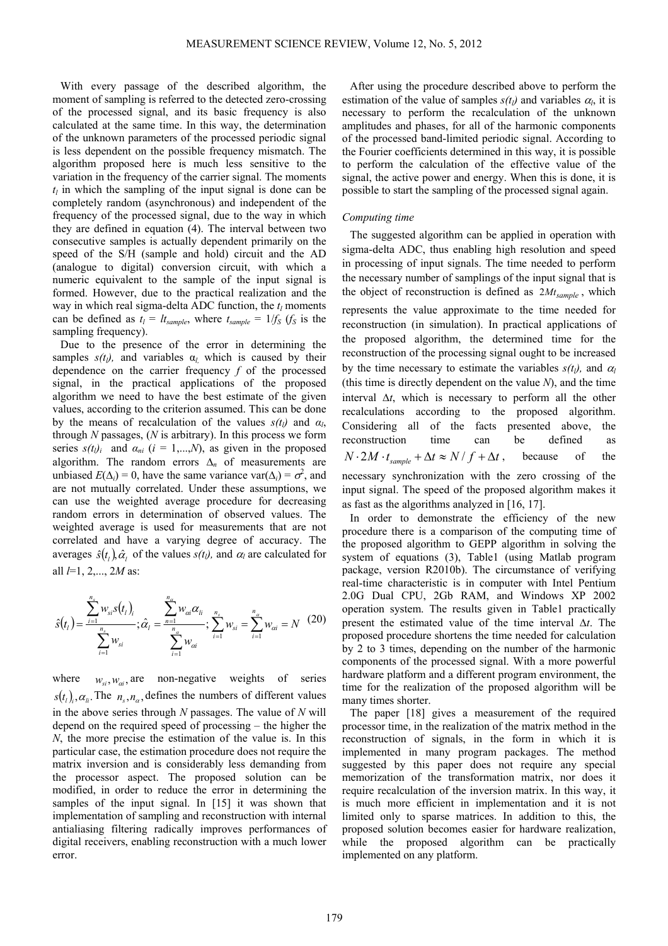With every passage of the described algorithm, the moment of sampling is referred to the detected zero-crossing of the processed signal, and its basic frequency is also calculated at the same time. In this way, the determination of the unknown parameters of the processed periodic signal is less dependent on the possible frequency mismatch. The algorithm proposed here is much less sensitive to the variation in the frequency of the carrier signal. The moments  $t_l$  in which the sampling of the input signal is done can be completely random (asynchronous) and independent of the frequency of the processed signal, due to the way in which they are defined in equation (4). The interval between two consecutive samples is actually dependent primarily on the speed of the S/H (sample and hold) circuit and the AD (analogue to digital) conversion circuit, with which a numeric equivalent to the sample of the input signal is formed. However, due to the practical realization and the way in which real sigma-delta ADC function, the  $t_l$  moments can be defined as  $t_l = lt_{sample}$ , where  $t_{sample} = 1/f_S$  ( $f_S$  is the sampling frequency).

Due to the presence of the error in determining the samples  $s(t_l)$ , and variables  $\alpha_l$  which is caused by their dependence on the carrier frequency *f* of the processed signal, in the practical applications of the proposed algorithm we need to have the best estimate of the given values, according to the criterion assumed. This can be done by the means of recalculation of the values  $s(t_1)$  and  $\alpha_1$ , through *N* passages, (*N* is arbitrary). In this process we form series  $s(t_i)$  and  $\alpha_{ni}$  ( $i = 1,...,N$ ), as given in the proposed algorithm. The random errors  $\Delta_n$  of measurements are unbiased  $E(\Delta_i) = 0$ , have the same variance var( $\Delta_i$ ) =  $\sigma^2$ , and are not mutually correlated. Under these assumptions, we can use the weighted average procedure for decreasing random errors in determination of observed values. The weighted average is used for measurements that are not correlated and have a varying degree of accuracy. The averages  $\hat{s}(t_i)$ ,  $\hat{\alpha}_i$  of the values  $s(t_i)$ , and  $\alpha_i$  are calculated for all *l*=1, 2,..., 2*M* as:

$$
\hat{s}(t_i) = \frac{\sum_{i=1}^{n_s} w_{si} s(t_i)_i}{\sum_{i=1}^{n_s} w_{si}}; \hat{\alpha}_i = \frac{\sum_{n=1}^{n_a} w_{ai} \alpha_{li}}{\sum_{i=1}^{n_a} w_{si}}; \sum_{i=1}^{n_s} w_{si} = \sum_{i=1}^{n_a} w_{ai} = N \quad (20)
$$

where  $w_{si}, w_{ai}$ , are non-negative weights of series  $s(t_i)$ ,  $\alpha_i$ . The  $n_s$ ,  $n_\alpha$ , defines the numbers of different values in the above series through *N* passages. The value of *N* will depend on the required speed of processing – the higher the *N*, the more precise the estimation of the value is. In this particular case, the estimation procedure does not require the matrix inversion and is considerably less demanding from the processor aspect. The proposed solution can be modified, in order to reduce the error in determining the samples of the input signal. In [15] it was shown that implementation of sampling and reconstruction with internal antialiasing filtering radically improves performances of digital receivers, enabling reconstruction with a much lower error.

After using the procedure described above to perform the estimation of the value of samples  $s(t_l)$  and variables  $\alpha_l$ , it is necessary to perform the recalculation of the unknown amplitudes and phases, for all of the harmonic components of the processed band-limited periodic signal. According to the Fourier coefficients determined in this way, it is possible to perform the calculation of the effective value of the signal, the active power and energy. When this is done, it is possible to start the sampling of the processed signal again.

## *Computing time*

The suggested algorithm can be applied in operation with sigma-delta ADC, thus enabling high resolution and speed in processing of input signals. The time needed to perform the necessary number of samplings of the input signal that is the object of reconstruction is defined as  $2M_{sample}$ , which represents the value approximate to the time needed for reconstruction (in simulation). In practical applications of the proposed algorithm, the determined time for the reconstruction of the processing signal ought to be increased by the time necessary to estimate the variables  $s(t_l)$ , and  $\alpha_l$ (this time is directly dependent on the value *N*), and the time interval  $\Delta t$ , which is necessary to perform all the other recalculations according to the proposed algorithm. Considering all of the facts presented above, the reconstruction time can be defined as  $N \cdot 2M \cdot t_{sample} + \Delta t \approx N/f + \Delta t$ , because of the necessary synchronization with the zero crossing of the input signal. The speed of the proposed algorithm makes it as fast as the algorithms analyzed in [16, 17].

In order to demonstrate the efficiency of the new procedure there is a comparison of the computing time of the proposed algorithm to GEPP algorithm in solving the system of equations (3), Table1 (using Matlab program package, version R2010b). The circumstance of verifying real-time characteristic is in computer with Intel Pentium 2.0G Dual CPU, 2Gb RAM, and Windows XP 2002 operation system. The results given in Table1 practically present the estimated value of the time interval Δ*t*. The proposed procedure shortens the time needed for calculation by 2 to 3 times, depending on the number of the harmonic components of the processed signal. With a more powerful hardware platform and a different program environment, the time for the realization of the proposed algorithm will be many times shorter.

The paper [18] gives a measurement of the required processor time, in the realization of the matrix method in the reconstruction of signals, in the form in which it is implemented in many program packages. The method suggested by this paper does not require any special memorization of the transformation matrix, nor does it require recalculation of the inversion matrix. In this way, it is much more efficient in implementation and it is not limited only to sparse matrices. In addition to this, the proposed solution becomes easier for hardware realization, while the proposed algorithm can be practically implemented on any platform.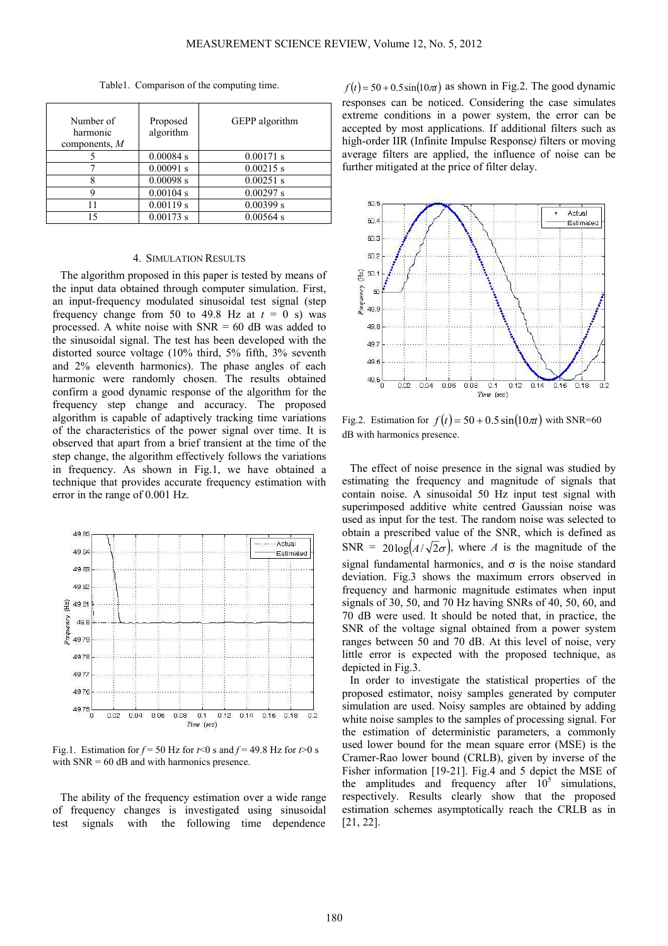Table1. Comparison of the computing time.

| Number of<br>harmonic<br>components, $M$ | Proposed<br>algorithm | GEPP algorithm |
|------------------------------------------|-----------------------|----------------|
|                                          | 0.00084 s             | 0.00171 s      |
|                                          | 0.00091 s             | $0.00215$ s    |
|                                          | 0.00098 s             | $0.00251$ s    |
|                                          | 0.00104 s             | 0.00297 s      |
| 11                                       | 0.00119 s             | 0.00399 s      |
| 1٢                                       | 0.00173 s             | $0.00564$ s    |

### 4. SIMULATION RESULTS

The algorithm proposed in this paper is tested by means of the input data obtained through computer simulation. First, an input-frequency modulated sinusoidal test signal (step frequency change from 50 to 49.8 Hz at  $t = 0$  s) was processed. A white noise with  $SNR = 60$  dB was added to the sinusoidal signal. The test has been developed with the distorted source voltage (10% third, 5% fifth, 3% seventh and 2% eleventh harmonics). The phase angles of each harmonic were randomly chosen. The results obtained confirm a good dynamic response of the algorithm for the frequency step change and accuracy. The proposed algorithm is capable of adaptively tracking time variations of the characteristics of the power signal over time. It is observed that apart from a brief transient at the time of the step change, the algorithm effectively follows the variations in frequency. As shown in Fig.1, we have obtained a technique that provides accurate frequency estimation with error in the range of 0.001 Hz.



Fig.1. Estimation for  $f = 50$  Hz for  $t < 0$  s and  $f = 49.8$  Hz for  $t > 0$  s with  $SNR = 60$  dB and with harmonics presence.

The ability of the frequency estimation over a wide range of frequency changes is investigated using sinusoidal test signals with the following time dependence

 $f(t) = 50 + 0.5 \sin(10\pi t)$  as shown in Fig.2. The good dynamic responses can be noticed. Considering the case simulates extreme conditions in a power system, the error can be accepted by most applications. If additional filters such as high-order IIR (Infinite Impulse Response*)* filters or moving average filters are applied, the influence of noise can be further mitigated at the price of filter delay.



Fig.2. Estimation for  $f(t) = 50 + 0.5 \sin(10\pi t)$  with SNR=60 dB with harmonics presence.

The effect of noise presence in the signal was studied by estimating the frequency and magnitude of signals that contain noise. A sinusoidal 50 Hz input test signal with superimposed additive white centred Gaussian noise was used as input for the test. The random noise was selected to obtain a prescribed value of the SNR, which is defined as SNR =  $20\log(A/\sqrt{2}\sigma)$ , where *A* is the magnitude of the signal fundamental harmonics, and  $\sigma$  is the noise standard deviation. Fig.3 shows the maximum errors observed in frequency and harmonic magnitude estimates when input signals of 30, 50, and 70 Hz having SNRs of 40, 50, 60, and 70 dB were used. It should be noted that, in practice, the SNR of the voltage signal obtained from a power system ranges between 50 and 70 dB. At this level of noise, very little error is expected with the proposed technique, as depicted in Fig.3.

In order to investigate the statistical properties of the proposed estimator, noisy samples generated by computer simulation are used. Noisy samples are obtained by adding white noise samples to the samples of processing signal. For the estimation of deterministic parameters, a commonly used lower bound for the mean square error (MSE) is the Cramer-Rao lower bound (CRLB), given by inverse of the Fisher information [19-21]. Fig.4 and 5 depict the MSE of the amplitudes and frequency after  $10^5$  simulations, respectively. Results clearly show that the proposed estimation schemes asymptotically reach the CRLB as in [21, 22].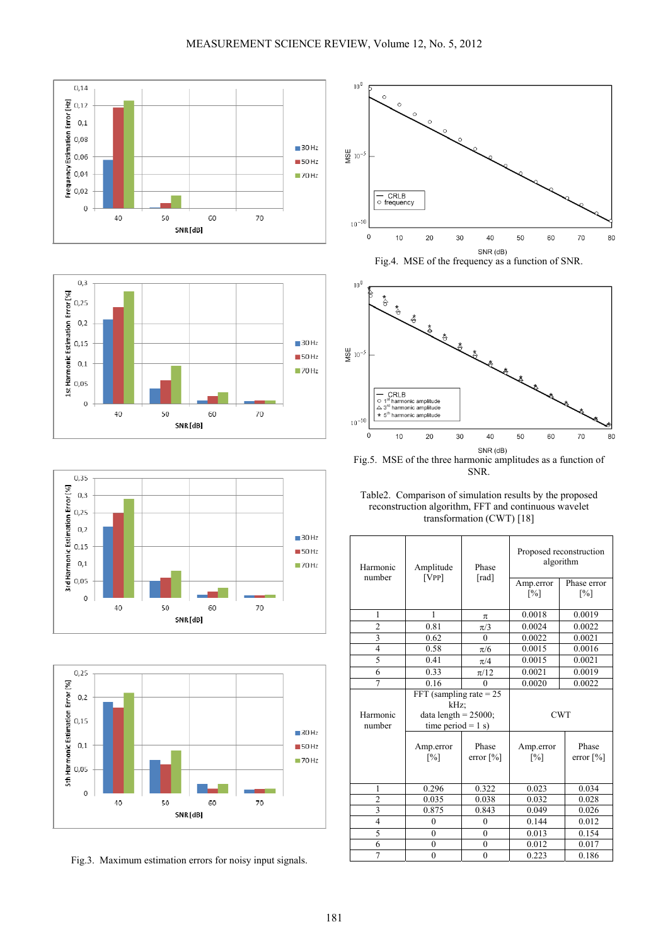







Fig.3. Maximum estimation errors for noisy input signals.



 $SNR$  (dB)<br>Fig.4. MSE of the frequency as a function of SNR.



Fig.5. MSE of the three harmonic amplitudes as a function of SNR.

Table2. Comparison of simulation results by the proposed reconstruction algorithm, FFT and continuous wavelet transformation (CWT) [18]

| Harmonic<br>number | Amplitude<br>[VPP]                                                                    | Phase<br>[rad]        | Proposed reconstruction<br>algorithm |                       |  |  |
|--------------------|---------------------------------------------------------------------------------------|-----------------------|--------------------------------------|-----------------------|--|--|
|                    |                                                                                       |                       | Amp.error<br>$[\%]$                  | Phase error<br>[%]    |  |  |
| 1                  | 1                                                                                     | $\pi$                 | 0.0018                               | 0.0019                |  |  |
| $\overline{c}$     | 0.81                                                                                  | $\pi/3$               | 0.0024                               | 0.0022                |  |  |
| 3                  | 0.62                                                                                  | $\Omega$              | 0.0022                               | 0.0021                |  |  |
| $\overline{4}$     | 0.58                                                                                  | $\pi/6$               | 0.0015                               | 0.0016                |  |  |
| 5                  | 0.41                                                                                  | $\pi/4$               | 0.0015                               | 0.0021                |  |  |
| 6                  | 0.33                                                                                  | $\pi/12$              | 0.0021                               | 0.0019                |  |  |
| $\overline{7}$     | 0.16                                                                                  | $\Omega$              | 0.0020                               | 0.0022                |  |  |
| Harmonic<br>number | FFT (sampling rate $= 25$<br>kHz:<br>data length = $25000$ ;<br>time period = $1 s$ ) |                       | <b>CWT</b>                           |                       |  |  |
|                    | Amp.error<br>$\lceil\% \rceil$                                                        | Phase<br>error $[\%]$ | Amp.error<br>[%]                     | Phase<br>error $[\%]$ |  |  |
| 1                  | 0.296                                                                                 | 0.322                 | 0.023                                | 0.034                 |  |  |
| $\overline{c}$     | 0.035                                                                                 | 0.038                 | 0.032                                | 0.028                 |  |  |
| $\overline{3}$     | 0.875                                                                                 | 0.843                 | 0.049                                | 0.026                 |  |  |
| $\overline{4}$     | $\theta$                                                                              | $\theta$              | 0.144                                | 0.012                 |  |  |
| 5                  | $\theta$                                                                              | $\theta$              | 0.013                                | 0.154                 |  |  |
| 6                  | $\theta$                                                                              | $\theta$              | 0.012                                | 0.017                 |  |  |
| $\overline{7}$     | $\overline{0}$                                                                        | $\mathbf{0}$          | 0.223                                | 0.186                 |  |  |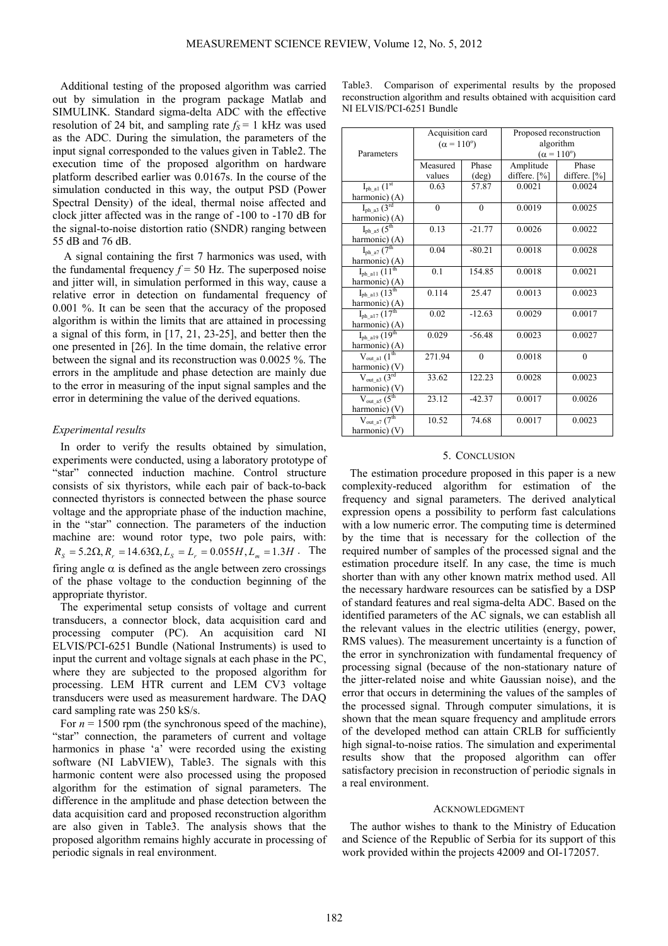Additional testing of the proposed algorithm was carried out by simulation in the program package Matlab and SIMULINK. Standard sigma-delta ADC with the effective resolution of 24 bit, and sampling rate  $f_s = 1$  kHz was used as the ADC. During the simulation, the parameters of the input signal corresponded to the values given in Table2. The execution time of the proposed algorithm on hardware platform described earlier was 0.0167s. In the course of the simulation conducted in this way, the output PSD (Power Spectral Density) of the ideal, thermal noise affected and clock jitter affected was in the range of -100 to -170 dB for the signal-to-noise distortion ratio (SNDR) ranging between 55 dB and 76 dB.

A signal containing the first 7 harmonics was used, with the fundamental frequency  $f = 50$  Hz. The superposed noise and jitter will, in simulation performed in this way, cause a relative error in detection on fundamental frequency of 0.001 %. It can be seen that the accuracy of the proposed algorithm is within the limits that are attained in processing a signal of this form, in [17, 21, 23-25], and better then the one presented in [26]. In the time domain, the relative error between the signal and its reconstruction was 0.0025 %. The errors in the amplitude and phase detection are mainly due to the error in measuring of the input signal samples and the error in determining the value of the derived equations.

### *Experimental results*

In order to verify the results obtained by simulation, experiments were conducted, using a laboratory prototype of "star" connected induction machine. Control structure consists of six thyristors, while each pair of back-to-back connected thyristors is connected between the phase source voltage and the appropriate phase of the induction machine, in the "star" connection. The parameters of the induction machine are: wound rotor type, two pole pairs, with:  $R_S = 5.2\Omega$ ,  $R_r = 14.63\Omega$ ,  $L_S = L_r = 0.055H$ ,  $L_m = 1.3H$ . The firing angle  $\alpha$  is defined as the angle between zero crossings of the phase voltage to the conduction beginning of the appropriate thyristor.

The experimental setup consists of voltage and current transducers, a connector block, data acquisition card and processing computer (PC). An acquisition card NI ELVIS/PCI-6251 Bundle (National Instruments) is used to input the current and voltage signals at each phase in the PC, where they are subjected to the proposed algorithm for processing. LEM HTR current and LEM CV3 voltage transducers were used as measurement hardware. The DAQ card sampling rate was 250 kS/s.

For  $n = 1500$  rpm (the synchronous speed of the machine), "star" connection, the parameters of current and voltage harmonics in phase 'a' were recorded using the existing software (NI LabVIEW), Table3. The signals with this harmonic content were also processed using the proposed algorithm for the estimation of signal parameters. The difference in the amplitude and phase detection between the data acquisition card and proposed reconstruction algorithm are also given in Table3. The analysis shows that the proposed algorithm remains highly accurate in processing of periodic signals in real environment.

| Table 3. Comparison of experimental results by the proposed         |  |  |  |
|---------------------------------------------------------------------|--|--|--|
| reconstruction algorithm and results obtained with acquisition card |  |  |  |
| NI ELVIS/PCI-6251 Bundle                                            |  |  |  |

|                                                    | Acquisition card         |                | Proposed reconstruction  |              |  |  |  |
|----------------------------------------------------|--------------------------|----------------|--------------------------|--------------|--|--|--|
|                                                    | $(\alpha = 110^{\circ})$ |                | algorithm                |              |  |  |  |
| Parameters                                         |                          |                | $(\alpha = 110^{\circ})$ |              |  |  |  |
|                                                    | Measured                 | Phase          | Amplitude                | Phase        |  |  |  |
|                                                    | values                   | $(\text{deg})$ | differe. [%]             | differe. [%] |  |  |  |
| $I_{\rm ph\_al}$ $\overline{(\mathbf{1}^{\rm st}}$ | 0.63                     | 57.87          | 0.0021                   | 0.0024       |  |  |  |
| harmonic) (A)                                      |                          |                |                          |              |  |  |  |
| $I_{ph\_a3}$ $\overline{(3^{rd}]}$                 | $\theta$                 | $\theta$       | 0.0019                   | 0.0025       |  |  |  |
| harmonic) (A)                                      |                          |                |                          |              |  |  |  |
| $I_{ph\_a5}$ $(\overline{5^{th}})$                 | 0.13                     | $-21.77$       | 0.0026                   | 0.0022       |  |  |  |
| harmonic) (A)                                      |                          |                |                          |              |  |  |  |
| $I_{ph\_a7}$ $(\overline{7^{th}})$                 | 0.04                     | $-80.21$       | 0.0018                   | 0.0028       |  |  |  |
| harmonic) (A)                                      |                          |                |                          |              |  |  |  |
| $I_{ph\_all}$ $(11^{\overline{th}}$                | 0.1                      | 154.85         | 0.0018                   | 0.0021       |  |  |  |
| harmonic) (A)                                      |                          |                |                          |              |  |  |  |
| $I_{ph\_al3}$ $\overline{(13^{th}}$                | 0.114                    | 25.47          | 0.0013                   | 0.0023       |  |  |  |
| harmonic) (A)                                      |                          |                |                          |              |  |  |  |
| $I_{ph\_al7}$ $\overline{(17^{th}}$                | 0.02                     | $-12.63$       | 0.0029                   | 0.0017       |  |  |  |
| harmonic) (A)                                      |                          |                |                          |              |  |  |  |
| $I_{ph\_a19}$ $\overline{(19^{th}})$               | 0.029                    | $-56.48$       | 0.0023                   | 0.0027       |  |  |  |
| harmonic) (A)                                      |                          |                |                          |              |  |  |  |
| $V_{\text{out\_al}}$ $(1^{\text{th}})$             | 271.94                   | $\mathbf{0}$   | 0.0018                   | $\theta$     |  |  |  |
| harmonic) (V)                                      |                          |                |                          |              |  |  |  |
| $V_{out\_a3}$ $(3^{rd}$                            | 33.62                    | 122.23         | 0.0028                   | 0.0023       |  |  |  |
| harmonic) (V)                                      |                          |                |                          |              |  |  |  |
| $V_{\text{out\_a5}}$ $(5^{\text{th}})$             | 23.12                    | $-42.37$       | 0.0017                   | 0.0026       |  |  |  |
| harmonic) (V)                                      |                          |                |                          |              |  |  |  |
| $V_{\text{out\_a7}}$ $(7^{\text{th}})$             | 10.52                    | 74.68          | 0.0017                   | 0.0023       |  |  |  |
| harmonic) (V)                                      |                          |                |                          |              |  |  |  |

#### 5. CONCLUSION

The estimation procedure proposed in this paper is a new complexity-reduced algorithm for estimation of the frequency and signal parameters. The derived analytical expression opens a possibility to perform fast calculations with a low numeric error. The computing time is determined by the time that is necessary for the collection of the required number of samples of the processed signal and the estimation procedure itself. In any case, the time is much shorter than with any other known matrix method used. All the necessary hardware resources can be satisfied by a DSP of standard features and real sigma-delta ADC. Based on the identified parameters of the AC signals, we can establish all the relevant values in the electric utilities (energy, power, RMS values). The measurement uncertainty is a function of the error in synchronization with fundamental frequency of processing signal (because of the non-stationary nature of the jitter-related noise and white Gaussian noise), and the error that occurs in determining the values of the samples of the processed signal. Through computer simulations, it is shown that the mean square frequency and amplitude errors of the developed method can attain CRLB for sufficiently high signal-to-noise ratios. The simulation and experimental results show that the proposed algorithm can offer satisfactory precision in reconstruction of periodic signals in a real environment.

#### ACKNOWLEDGMENT

The author wishes to thank to the Ministry of Education and Science of the Republic of Serbia for its support of this work provided within the projects 42009 and OI-172057.